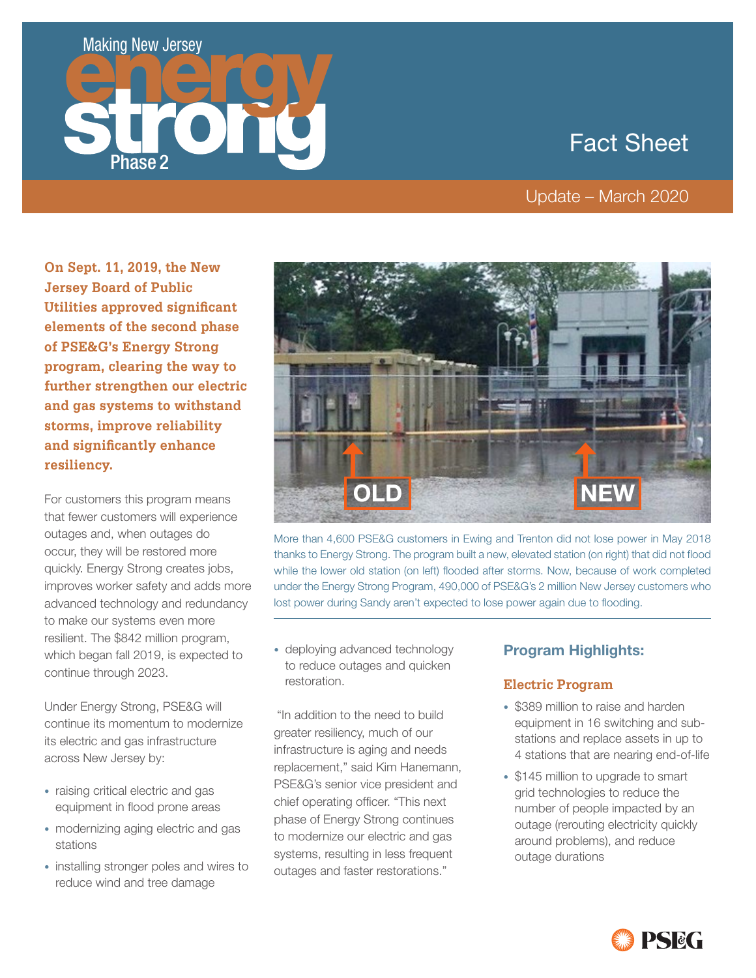# Making New Jersey



# Fact Sheet

## Update – March 2020

**On Sept. 11, 2019, the New Jersey Board of Public Utilities approved significant elements of the second phase of PSE&G's Energy Strong program, clearing the way to further strengthen our electric and gas systems to withstand storms, improve reliability and significantly enhance resiliency.**

For customers this program means that fewer customers will experience outages and, when outages do occur, they will be restored more quickly. Energy Strong creates jobs, improves worker safety and adds more advanced technology and redundancy to make our systems even more resilient. The \$842 million program, which began fall 2019, is expected to continue through 2023.

Under Energy Strong, PSE&G will continue its momentum to modernize its electric and gas infrastructure across New Jersey by:

- raising critical electric and gas equipment in flood prone areas
- modernizing aging electric and gas stations
- installing stronger poles and wires to reduce wind and tree damage



More than 4,600 PSE&G customers in Ewing and Trenton did not lose power in May 2018 thanks to Energy Strong. The program built a new, elevated station (on right) that did not flood while the lower old station (on left) flooded after storms. Now, because of work completed under the Energy Strong Program, 490,000 of PSE&G's 2 million New Jersey customers who lost power during Sandy aren't expected to lose power again due to flooding.

• deploying advanced technology to reduce outages and quicken restoration.

"In addition to the need to build greater resiliency, much of our infrastructure is aging and needs replacement," said Kim Hanemann, PSE&G's senior vice president and chief operating officer. "This next phase of Energy Strong continues to modernize our electric and gas systems, resulting in less frequent outages and faster restorations."

## **Program Highlights:**

### **Electric Program**

- \$389 million to raise and harden equipment in 16 switching and substations and replace assets in up to 4 stations that are nearing end-of-life
- \$145 million to upgrade to smart grid technologies to reduce the number of people impacted by an outage (rerouting electricity quickly around problems), and reduce outage durations